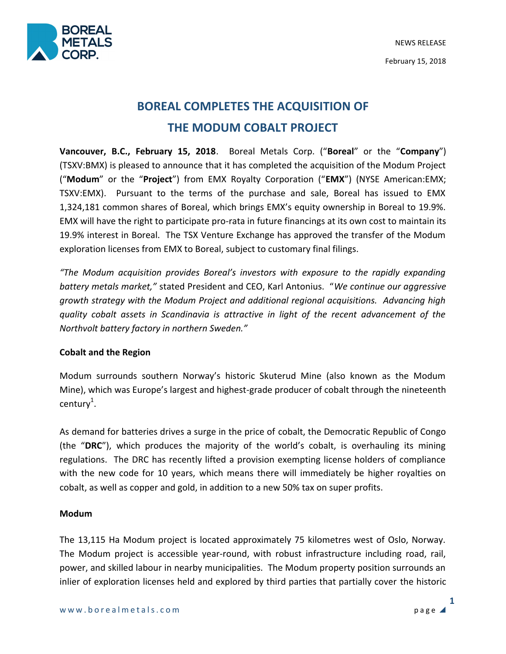

# **BOREAL COMPLETES THE ACQUISITION OF THE MODUM COBALT PROJECT**

**Vancouver, B.C., February 15, 2018**. Boreal Metals Corp. ("**Boreal**" or the "**Company**") (TSXV:BMX) is pleased to announce that it has completed the acquisition of the Modum Project ("**Modum**" or the "**Project**") from EMX Royalty Corporation ("**EMX**") (NYSE American:EMX; TSXV:EMX). Pursuant to the terms of the purchase and sale, Boreal has issued to EMX 1,324,181 common shares of Boreal, which brings EMX's equity ownership in Boreal to 19.9%. EMX will have the right to participate pro-rata in future financings at its own cost to maintain its 19.9% interest in Boreal. The TSX Venture Exchange has approved the transfer of the Modum exploration licenses from EMX to Boreal, subject to customary final filings.

*"The Modum acquisition provides Boreal's investors with exposure to the rapidly expanding battery metals market,"* stated President and CEO, Karl Antonius. "*We continue our aggressive growth strategy with the Modum Project and additional regional acquisitions. Advancing high quality cobalt assets in Scandinavia is attractive in light of the recent advancement of the Northvolt battery factory in northern Sweden."*

## **Cobalt and the Region**

Modum surrounds southern Norway's historic Skuterud Mine (also known as the Modum Mine), which was Europe's largest and highest-grade producer of cobalt through the nineteenth  $century<sup>1</sup>$ .

As demand for batteries drives a surge in the price of cobalt, the Democratic Republic of Congo (the "**DRC**"), which produces the majority of the world's cobalt, is overhauling its mining regulations. The DRC has recently lifted a provision exempting license holders of compliance with the new code for 10 years, which means there will immediately be higher royalties on cobalt, as well as copper and gold, in addition to a new 50% tax on super profits.

## **Modum**

The 13,115 Ha Modum project is located approximately 75 kilometres west of Oslo, Norway. The Modum project is accessible year-round, with robust infrastructure including road, rail, power, and skilled labour in nearby municipalities. The Modum property position surrounds an inlier of exploration licenses held and explored by third parties that partially cover the historic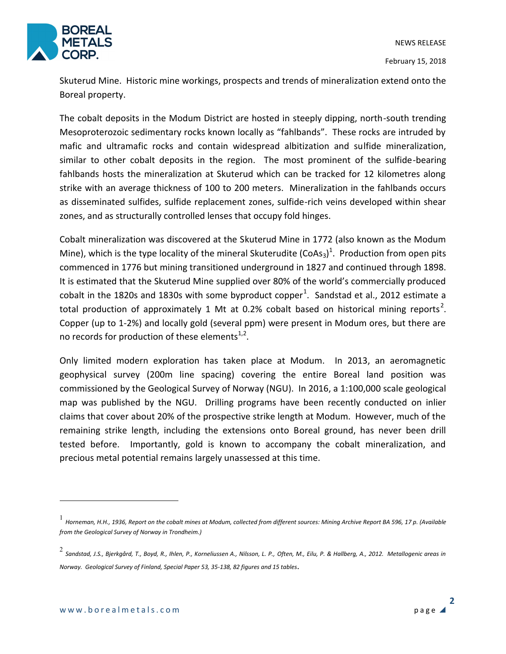

Skuterud Mine. Historic mine workings, prospects and trends of mineralization extend onto the Boreal property.

The cobalt deposits in the Modum District are hosted in steeply dipping, north-south trending Mesoproterozoic sedimentary rocks known locally as "fahlbands". These rocks are intruded by mafic and ultramafic rocks and contain widespread albitization and sulfide mineralization, similar to other cobalt deposits in the region. The most prominent of the sulfide-bearing fahlbands hosts the mineralization at Skuterud which can be tracked for 12 kilometres along strike with an average thickness of 100 to 200 meters. Mineralization in the fahlbands occurs as disseminated sulfides, sulfide replacement zones, sulfide-rich veins developed within shear zones, and as structurally controlled lenses that occupy fold hinges.

Cobalt mineralization was discovered at the Skuterud Mine in 1772 (also known as the Modum Mine), which is the type locality of the mineral Skuterudite (CoAs<sub>3</sub>)<sup>1</sup>. Production from open pits commenced in 1776 but mining transitioned underground in 1827 and continued through 1898. It is estimated that the Skuterud Mine supplied over 80% of the world's commercially produced cobalt in the 1820s and 1830s with some byproduct copper<sup>1</sup>. Sandstad et al., 2012 estimate a total production of approximately 1 Mt at 0.2% cobalt based on historical mining reports<sup>2</sup>. Copper (up to 1-2%) and locally gold (several ppm) were present in Modum ores, but there are no records for production of these elements $^{1,2}$ .

Only limited modern exploration has taken place at Modum. In 2013, an aeromagnetic geophysical survey (200m line spacing) covering the entire Boreal land position was commissioned by the Geological Survey of Norway (NGU). In 2016, a 1:100,000 scale geological map was published by the NGU. Drilling programs have been recently conducted on inlier claims that cover about 20% of the prospective strike length at Modum. However, much of the remaining strike length, including the extensions onto Boreal ground, has never been drill tested before. Importantly, gold is known to accompany the cobalt mineralization, and precious metal potential remains largely unassessed at this time.

 $\overline{a}$ 

<sup>1</sup> *Horneman, H.H., 1936, Report on the cobalt mines at Modum, collected from different sources: Mining Archive Report BA 596, 17 p. (Available from the Geological Survey of Norway in Trondheim.)*

<sup>2</sup> *Sandstad, J.S., Bjerkgård, T., Boyd, R., Ihlen, P., Korneliussen A., Nilsson, L. P., Often, M., Eilu, P. & Hallberg, A., 2012. Metallogenic areas in Norway. Geological Survey of Finland, Special Paper 53, 35-138, 82 figures and 15 tables*.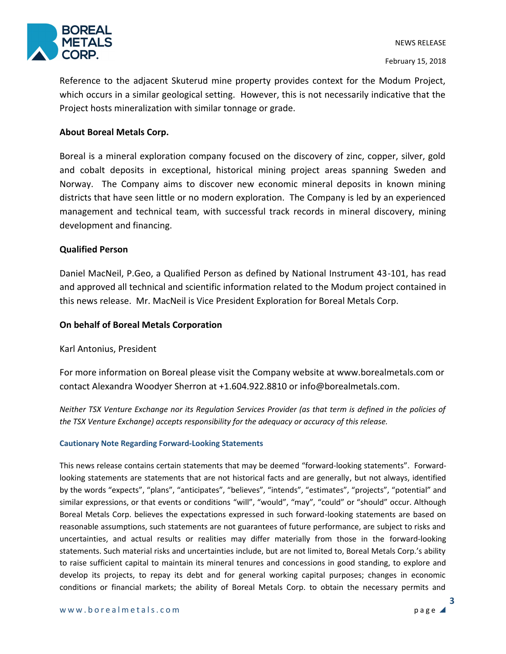

Reference to the adjacent Skuterud mine property provides context for the Modum Project, which occurs in a similar geological setting. However, this is not necessarily indicative that the Project hosts mineralization with similar tonnage or grade.

### **About Boreal Metals Corp.**

Boreal is a mineral exploration company focused on the discovery of zinc, copper, silver, gold and cobalt deposits in exceptional, historical mining project areas spanning Sweden and Norway. The Company aims to discover new economic mineral deposits in known mining districts that have seen little or no modern exploration. The Company is led by an experienced management and technical team, with successful track records in mineral discovery, mining development and financing.

#### **Qualified Person**

Daniel MacNeil, P.Geo, a Qualified Person as defined by National Instrument 43-101, has read and approved all technical and scientific information related to the Modum project contained in this news release. Mr. MacNeil is Vice President Exploration for Boreal Metals Corp.

#### **On behalf of Boreal Metals Corporation**

Karl Antonius, President

For more information on Boreal please visit the Company website at www.borealmetals.com or contact Alexandra Woodyer Sherron at +1.604.922.8810 or info@borealmetals.com.

*Neither TSX Venture Exchange nor its Regulation Services Provider (as that term is defined in the policies of the TSX Venture Exchange) accepts responsibility for the adequacy or accuracy of this release.* 

#### **Cautionary Note Regarding Forward-Looking Statements**

This news release contains certain statements that may be deemed "forward-looking statements". Forwardlooking statements are statements that are not historical facts and are generally, but not always, identified by the words "expects", "plans", "anticipates", "believes", "intends", "estimates", "projects", "potential" and similar expressions, or that events or conditions "will", "would", "may", "could" or "should" occur. Although Boreal Metals Corp. believes the expectations expressed in such forward-looking statements are based on reasonable assumptions, such statements are not guarantees of future performance, are subject to risks and uncertainties, and actual results or realities may differ materially from those in the forward-looking statements. Such material risks and uncertainties include, but are not limited to, Boreal Metals Corp.'s ability to raise sufficient capital to maintain its mineral tenures and concessions in good standing, to explore and develop its projects, to repay its debt and for general working capital purposes; changes in economic conditions or financial markets; the ability of Boreal Metals Corp. to obtain the necessary permits and